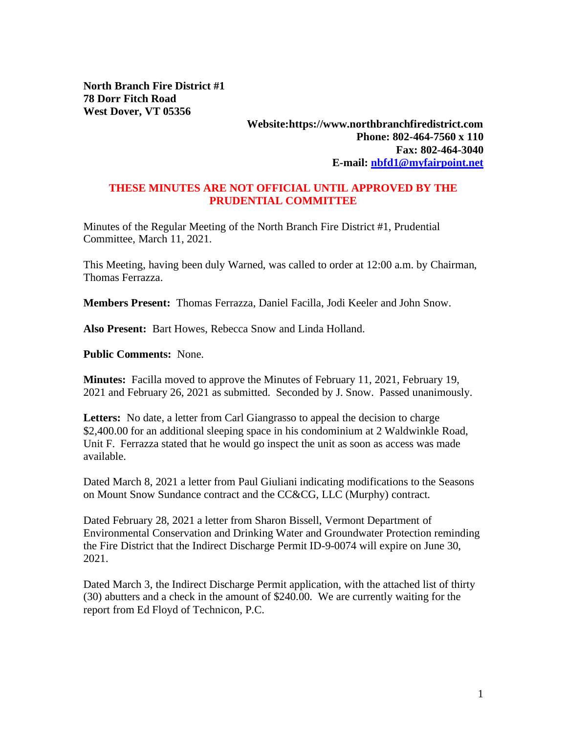**North Branch Fire District #1 78 Dorr Fitch Road West Dover, VT 05356**

## **Website:https://www.northbranchfiredistrict.com Phone: 802-464-7560 x 110 Fax: 802-464-3040 E-mail: [nbfd1@myfairpoint.net](mailto:nbfd1@myfairpoint.net)**

## **THESE MINUTES ARE NOT OFFICIAL UNTIL APPROVED BY THE PRUDENTIAL COMMITTEE**

Minutes of the Regular Meeting of the North Branch Fire District #1, Prudential Committee, March 11, 2021.

This Meeting, having been duly Warned, was called to order at 12:00 a.m. by Chairman, Thomas Ferrazza.

**Members Present:** Thomas Ferrazza, Daniel Facilla, Jodi Keeler and John Snow.

**Also Present:** Bart Howes, Rebecca Snow and Linda Holland.

**Public Comments:** None.

**Minutes:** Facilla moved to approve the Minutes of February 11, 2021, February 19, 2021 and February 26, 2021 as submitted. Seconded by J. Snow. Passed unanimously.

**Letters:** No date, a letter from Carl Giangrasso to appeal the decision to charge \$2,400.00 for an additional sleeping space in his condominium at 2 Waldwinkle Road, Unit F. Ferrazza stated that he would go inspect the unit as soon as access was made available.

Dated March 8, 2021 a letter from Paul Giuliani indicating modifications to the Seasons on Mount Snow Sundance contract and the CC&CG, LLC (Murphy) contract.

Dated February 28, 2021 a letter from Sharon Bissell, Vermont Department of Environmental Conservation and Drinking Water and Groundwater Protection reminding the Fire District that the Indirect Discharge Permit ID-9-0074 will expire on June 30, 2021.

Dated March 3, the Indirect Discharge Permit application, with the attached list of thirty (30) abutters and a check in the amount of \$240.00. We are currently waiting for the report from Ed Floyd of Technicon, P.C.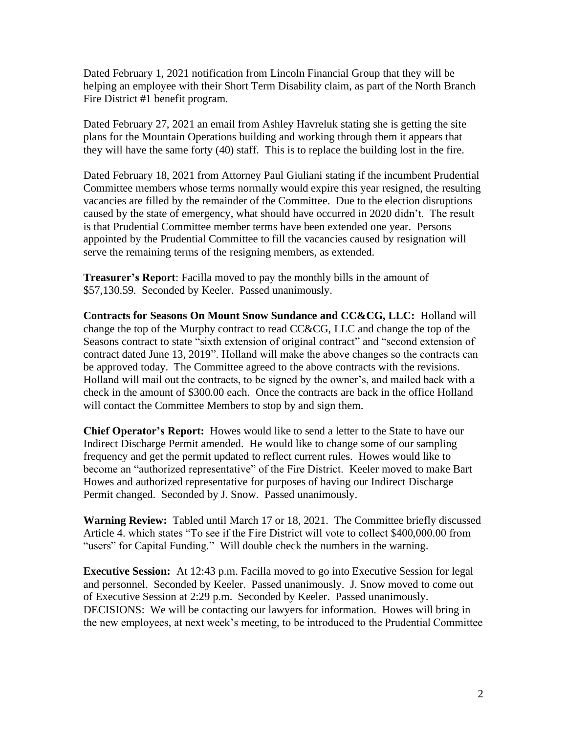Dated February 1, 2021 notification from Lincoln Financial Group that they will be helping an employee with their Short Term Disability claim, as part of the North Branch Fire District #1 benefit program.

Dated February 27, 2021 an email from Ashley Havreluk stating she is getting the site plans for the Mountain Operations building and working through them it appears that they will have the same forty (40) staff. This is to replace the building lost in the fire.

Dated February 18, 2021 from Attorney Paul Giuliani stating if the incumbent Prudential Committee members whose terms normally would expire this year resigned, the resulting vacancies are filled by the remainder of the Committee. Due to the election disruptions caused by the state of emergency, what should have occurred in 2020 didn't. The result is that Prudential Committee member terms have been extended one year. Persons appointed by the Prudential Committee to fill the vacancies caused by resignation will serve the remaining terms of the resigning members, as extended.

**Treasurer's Report**: Facilla moved to pay the monthly bills in the amount of \$57,130.59. Seconded by Keeler. Passed unanimously.

**Contracts for Seasons On Mount Snow Sundance and CC&CG, LLC:** Holland will change the top of the Murphy contract to read CC&CG, LLC and change the top of the Seasons contract to state "sixth extension of original contract" and "second extension of contract dated June 13, 2019". Holland will make the above changes so the contracts can be approved today. The Committee agreed to the above contracts with the revisions. Holland will mail out the contracts, to be signed by the owner's, and mailed back with a check in the amount of \$300.00 each. Once the contracts are back in the office Holland will contact the Committee Members to stop by and sign them.

**Chief Operator's Report:** Howes would like to send a letter to the State to have our Indirect Discharge Permit amended. He would like to change some of our sampling frequency and get the permit updated to reflect current rules. Howes would like to become an "authorized representative" of the Fire District. Keeler moved to make Bart Howes and authorized representative for purposes of having our Indirect Discharge Permit changed. Seconded by J. Snow. Passed unanimously.

**Warning Review:** Tabled until March 17 or 18, 2021. The Committee briefly discussed Article 4. which states "To see if the Fire District will vote to collect \$400,000.00 from "users" for Capital Funding." Will double check the numbers in the warning.

**Executive Session:** At 12:43 p.m. Facilla moved to go into Executive Session for legal and personnel. Seconded by Keeler. Passed unanimously. J. Snow moved to come out of Executive Session at 2:29 p.m. Seconded by Keeler. Passed unanimously. DECISIONS: We will be contacting our lawyers for information. Howes will bring in the new employees, at next week's meeting, to be introduced to the Prudential Committee